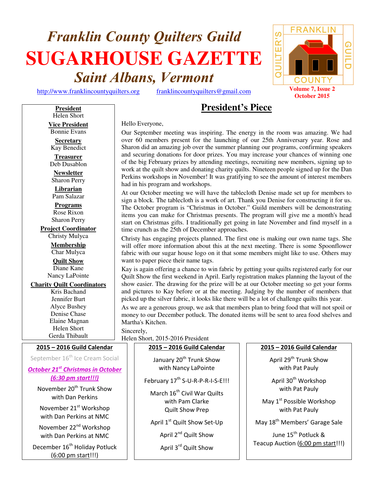# **Franklin County Quilters Guild SUGARHOUSE GAZETTE Saint Albans, Vermont**

# **President's Piece**

Hello Everyone,

Our September meeting was inspiring. The energy in the room was amazing. We had over 60 members present for the launching of our 25th Anniversary year. Rose and Sharon did an amazing job over the summer planning our programs, confirming speakers and securing donations for door prizes. You may increase your chances of winning one of the big February prizes by attending meetings, recruiting new members, signing up to work at the quilt show and donating charity quilts. Nineteen people signed up for the Dan Perkins workshops in November! It was gratifying to see the amount of interest members had in his program and workshops.

At our October meeting we will have the tablecloth Denise made set up for members to sign a block. The tablecloth is a work of art. Thank you Denise for constructing it for us. The October program is "Christmas in October." Guild members will be demonstrating items you can make for Christmas presents. The program will give me a month's head start on Christmas gifts. I traditionally get going in late November and find myself in a time crunch as the 25th of December approaches.

Christy has engaging projects planned. The first one is making our own name tags. She will offer more information about this at the next meeting. There is some Spoonflower fabric with our sugar house logo on it that some members might like to use. Others may want to paper piece their name tags.

Kay is again offering a chance to win fabric by getting your quilts registered early for our Quilt Show the first weekend in April. Early registration makes planning the layout of the show easier. The drawing for the prize will be at our October meeting so get your forms and pictures to Kay before or at the meeting. Judging by the number of members that picked up the silver fabric, it looks like there will be a lot of challenge quilts this year.

As we are a generous group, we ask that members plan to bring food that will not spoil or money to our December potluck. The donated items will be sent to area food shelves and Martha's Kitchen.

Sincerely,

Helen Short, 2015-2016 President

January 20<sup>th</sup> Trunk Show with Nancy LaPointe

**2015 – 2016 Guild Calendar**

February 17<sup>th</sup> S-U-R-P-R-I-S-E!!!

March 16<sup>th</sup> Civil War Quilts with Pam Clarke Quilt Show Prep

April 1<sup>st</sup> Quilt Show Set-Up

April 2<sup>nd</sup> Quilt Show

April 3rd Quilt Show

# **2015 – 2016 Guild Calendar**

April 29<sup>th</sup> Trunk Show with Pat Pauly

April 30<sup>th</sup> Workshop with Pat Pauly

May 1<sup>st</sup> Possible Workshop with Pat Pauly

May 18<sup>th</sup> Members' Garage Sale

June 15<sup>th</sup> Potluck & Teacup Auction (6:00 pm start!!!)

Helen Short **Vice President**  Bonnie Evans

**President**

**Secretary**  Kay Benedict

**Treasurer**  Deb Dusablon

**Newsletter**  Sharon Perry

**Librarian**  Pam Salazar

**Programs** Rose Rixon Sharon Perry

**Project Coordinator**

Christy Mulyca **Membership**  Char Mulyca **Quilt Show**

Diane Kane Nancy LaPointe

**Charity Quilt Coordinators**

Kris Bachand Jennifer Burt Alyce Bushey Denise Chase Elaine Magnan Helen Short Gerda Thibault

**2015 – 2016 Guild Calendar**

September 16<sup>th</sup> Ice Cream Social

*October 21st Christmas in October* 

*(6:30 pm start!!!)*  November 20<sup>th</sup> Trunk Show

with Dan Perkins

November 21<sup>st</sup> Workshop with Dan Perkins at NMC

November 22<sup>nd</sup> Workshop with Dan Perkins at NMC

December 16<sup>th</sup> Holiday Potluck (6:00 pm start!!!)

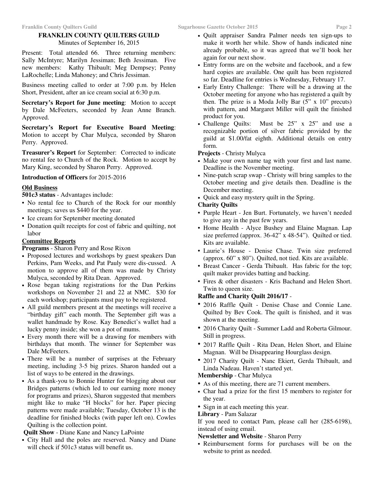# **FRANKLIN COUNTY QUILTERS GUILD**

Minutes of September 16, 2015

Present: Total attended 66. Three returning members: Sally McIntyre; Marilyn Jessiman; Beth Jessiman. Five new members: Kathy Thibault; Meg Dempsey; Penny LaRochelle; Linda Mahoney; and Chris Jessiman.

Business meeting called to order at 7:00 p.m. by Helen Short, President, after an ice cream social at 6:30 p.m.

**Secretary's Report for June meeting**: Motion to accept by Dale McFeeters, seconded by Jean Anne Branch. Approved.

**Secretary's Report for Executive Board Meeting**: Motion to accept by Char Mulyca, seconded by Sharon Perry. Approved.

**Treasurer's Report** for September: Corrected to indicate no rental fee to Church of the Rock. Motion to accept by Mary King, seconded by Sharon Perry. Approved.

# **Introduction of Officers** for 2015-2016

# **Old Business**

**501c3 status** - Advantages include:

- No rental fee to Church of the Rock for our monthly meetings; saves us \$440 for the year.
- Ice cream for September meeting donated
- Donation quilt receipts for cost of fabric and quilting, not labor

# **Committee Reports**

**Programs** - Sharon Perry and Rose Rixon

- Proposed lectures and workshops by guest speakers Dan Perkins, Pam Weeks, and Pat Pauly were dis-cussed. A motion to approve all of them was made by Christy Mulyca, seconded by Rita Dean. Approved.
- Rose began taking registrations for the Dan Perkins workshops on November 21 and 22 at NMC. \$30 for each workshop; participants must pay to be registered.
- All guild members present at the meetings will receive a "birthday gift" each month. The September gift was a wallet handmade by Rose. Kay Benedict's wallet had a lucky penny inside; she won a pot of mums.
- Every month there will be a drawing for members with birthdays that month. The winner for September was Dale McFeeters.
- There will be a number of surprises at the February meeting, including 3-5 big prizes. Sharon handed out a list of ways to be entered in the drawings.
- As a thank-you to Bonnie Hunter for blogging about our Bridges patterns (which led to our earning more money for programs and prizes), Sharon suggested that members might like to make "H blocks" for her. Paper piecing patterns were made available; Tuesday, October 13 is the deadline for finished blocks (with paper left on). Cowles Quilting is the collection point.

**Quilt Show** - Diane Kane and Nancy LaPointe

• City Hall and the poles are reserved. Nancy and Diane will check if 501c3 status will benefit us.

- Quilt appraiser Sandra Palmer needs ten sign-ups to make it worth her while. Show of hands indicated nine already probable, so it was agreed that we'll book her again for our next show.
- Entry forms are on the website and facebook, and a few hard copies are available. One quilt has been registered so far. Deadline for entries is Wednesday, February 17.
- Early Entry Challenge: There will be a drawing at the October meeting for anyone who has registered a quilt by then. The prize is a Moda Jolly Bar  $(5" \times 10"$  precuts) with pattern, and Margaret Miller will quilt the finished product for you.
- Challenge Quilts: Must be 25" x 25" and use a recognizable portion of silver fabric provided by the guild at \$1.00/fat eighth. Additional details on entry form.

# **Projects** - Christy Mulyca

- Make your own name tag with your first and last name. Deadline is the November meeting.
- Nine-patch scrap swap Christy will bring samples to the October meeting and give details then. Deadline is the December meeting.
- Quick and easy mystery quilt in the Spring.

# **Charity Quilts**

- Purple Heart Jen Burt. Fortunately, we haven't needed to give any in the past few years.
- Home Health Alyce Bushey and Elaine Magnan. Lap size preferred (approx. 36-42" x 48-54"). Quilted or tied. Kits are available.
- Laurie's House Denise Chase. Twin size preferred (approx. 60" x 80"). Quilted, not tied. Kits are available.
- Breast Cancer Gerda Thibault. Has fabric for the top; quilt maker provides batting and backing.
- Fires & other disasters Kris Bachand and Helen Short. Twin to queen size.

# **Raffle and Charity Quilt 2016/17** -

- 2016 Raffle Quilt Denise Chase and Connie Lane. Quilted by Bev Cook. The quilt is finished, and it was shown at the meeting.
- 2016 Charity Quilt Summer Ladd and Roberta Gilmour. Still in progress.
- 2017 Raffle Quilt Rita Dean, Helen Short, and Elaine Magnan. Will be Disappearing Hourglass design.
- 2017 Charity Quilt Nanc Ekiert, Gerda Thibault, and Linda Nadeau. Haven't started yet.

# **Membership** - Char Mulyca

- As of this meeting, there are 71 current members.
- Char had a prize for the first 15 members to register for the year.
- Sign in at each meeting this year.

# **Library** - Pam Salazar

If you need to contact Pam, please call her (285-6198), instead of using email.

# **Newsletter and Website** - Sharon Perry

• Reimbursement forms for purchases will be on the website to print as needed.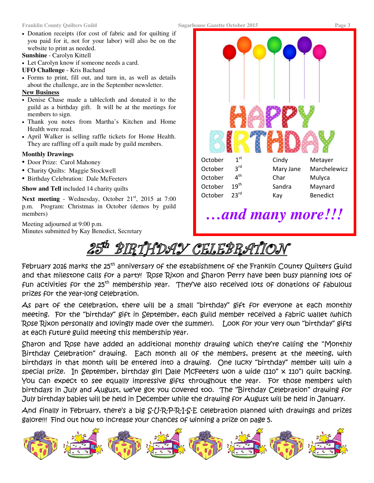### **Franklin County Quilters Guild Sugarhouse Gazette October 2015 Page 3**

• Donation receipts (for cost of fabric and for quilting if you paid for it, not for your labor) will also be on the website to print as needed.

**Sunshine** - Carolyn Kittell

- Let Carolyn know if someone needs a card.
- **UFO Challenge**  Kris Bachand
- Forms to print, fill out, and turn in, as well as details about the challenge, are in the September newsletter.

# **New Business**

- Denise Chase made a tablecloth and donated it to the guild as a birthday gift. It will be at the meetings for members to sign.
- Thank you notes from Martha's Kitchen and Home Health were read.
- April Walker is selling raffle tickets for Home Health. They are raffling off a quilt made by guild members.

# **Monthly Drawings**

- Door Prize: Carol Mahoney
- Charity Quilts: Maggie Stockwell
- Birthday Celebration: Dale McFeeters

**Show and Tell** included 14 charity quilts

Next meeting - Wednesday, October 21<sup>st</sup>, 2015 at 7:00 p.m. Program: Christmas in October (demos by guild members)

Meeting adjourned at 9:00 p.m. Minutes submitted by Kay Benedict, Secretary



# *…and many more!!!*

RTHDAY CELEBRATION

February 2016 marks the 25<sup>th</sup> anniversary of the establishment of the Franklin County Quilters Guild and that milestone calls for a party! Rose Rixon and Sharon Perry have been busy planning lots of fun activities for the 25<sup>th</sup> membership year. They've also received lots of donations of fabulous prizes for the year-long celebration.

As part of the celebration, there will be a small "birthday" gift for everyone at each monthly meeting. For the "birthday" gift in September, each guild member received a fabric wallet (which Rose Rixon personally and lovingly made over the summer). Look for your very own "birthday" gifts at each future guild meeting this membership year.

Sharon and Rose have added an additional monthly drawing which they're calling the "Monthly Birthday Celebration" drawing. Each month all of the members, present at the meeting, with birthdays in that month will be entered into a drawing. One lucky "birthday" member will win a special prize. In September, birthday girl Dale McFeeters won a wide (110" x 110") quilt backing. You can expect to see equally impressive gifts throughout the year. For those members with birthdays in July and August, we've got you covered too. The "Birthday Celebration" drawing for July birthday babies will be held in December while the drawing for August will be held in January.

And finally in February, there's a big S-U-R-P-R-I-S-E celebration planned with drawings and prizes galore!!! Find out how to increase your chances of winning a prize on page 5.

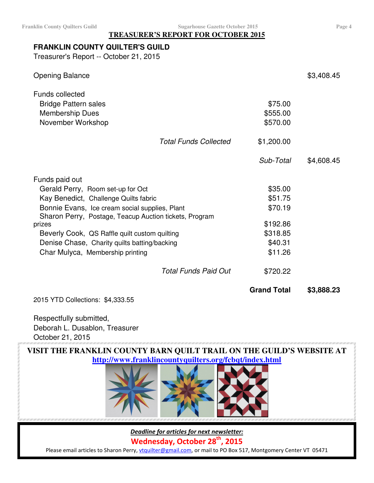# **TREASURER'S REPORT FOR OCTOBER 2015**

# **FRANKLIN COUNTY QUILTER'S GUILD**

Treasurer's Report -- October 21, 2015

| <b>Opening Balance</b>                                                                               |                              |                                 | \$3,408.45 |
|------------------------------------------------------------------------------------------------------|------------------------------|---------------------------------|------------|
| <b>Funds collected</b><br><b>Bridge Pattern sales</b><br><b>Membership Dues</b><br>November Workshop |                              | \$75.00<br>\$555.00<br>\$570.00 |            |
|                                                                                                      | <b>Total Funds Collected</b> | \$1,200.00                      |            |
|                                                                                                      |                              | Sub-Total                       | \$4,608.45 |
| Funds paid out                                                                                       |                              |                                 |            |
| Gerald Perry, Room set-up for Oct                                                                    |                              | \$35.00                         |            |
| Kay Benedict, Challenge Quilts fabric                                                                |                              | \$51.75                         |            |
| Bonnie Evans, Ice cream social supplies, Plant                                                       |                              | \$70.19                         |            |
| Sharon Perry, Postage, Teacup Auction tickets, Program                                               |                              |                                 |            |
| prizes                                                                                               |                              | \$192.86                        |            |
| Beverly Cook, QS Raffle quilt custom quilting                                                        |                              | \$318.85                        |            |
| Denise Chase, Charity quilts batting/backing                                                         |                              | \$40.31                         |            |
| Char Mulyca, Membership printing                                                                     |                              | \$11.26                         |            |
|                                                                                                      | Total Funds Paid Out         | \$720.22                        |            |
|                                                                                                      |                              | <b>Grand Total</b>              | \$3,888.23 |

2015 YTD Collections: \$4,333.55

Respectfully submitted, Deborah L. Dusablon, Treasurer October 21, 2015

**VISIT THE FRANKLIN COUNTY BARN QUILT TRAIL ON THE GUILD'S WEBSITE AT http://www.franklincountyquilters.org/fcbqt/index.html** 



*Deadline for articles for next newsletter:* 

**Wednesday, October 28th, 2015** 

Please email articles to Sharon Perry, vtquilter@gmail.com, or mail to PO Box 517, Montgomery Center VT 05471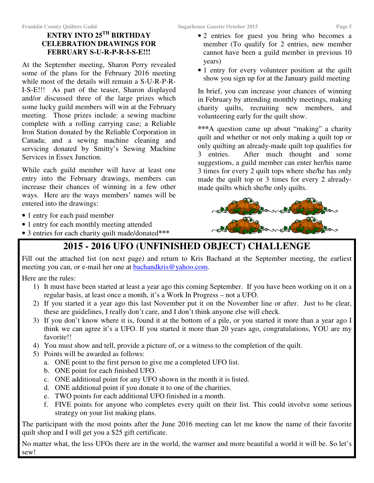# **ENTRY INTO 25TH BIRTHDAY CELEBRATION DRAWINGS FOR FEBRUARY S-U-R-P-R-I-S-E!!!**

At the September meeting, Sharon Perry revealed some of the plans for the February 2016 meeting while most of the details will remain a S-U-R-P-R-I-S-E!!! As part of the teaser, Sharon displayed and/or discussed three of the large prizes which some lucky guild members will win at the February meeting. Those prizes include: a sewing machine complete with a rolling carrying case; a Reliable Iron Station donated by the Reliable Corporation in Canada; and a sewing machine cleaning and servicing donated by Smitty's Sewing Machine Services in Essex Junction.

While each guild member will have at least one entry into the February drawings, members can increase their chances of winning in a few other ways. Here are the ways members' names will be entered into the drawings:

- 1 entry for each paid member
- 1 entry for each monthly meeting attended
- 3 entries for each charity quilt made/donated**\*\*\***
- 2 entries for guest you bring who becomes a member (To qualify for 2 entries, new member cannot have been a guild member in previous 10 years)
- 1 entry for every volunteer position at the quilt show you sign up for at the January guild meeting

In brief, you can increase your chances of winning in February by attending monthly meetings, making charity quilts, recruiting new members, and volunteering early for the quilt show.

**\*\*\***A question came up about "making" a charity quilt and whether or not only making a quilt top or only quilting an already-made quilt top qualifies for 3 entries. After much thought and some suggestions, a guild member can enter her/his name 3 times for every 2 quilt tops where she/he has only made the quilt top or 3 times for every 2 alreadymade quilts which she/he only quilts.



# **2015 - 2016 UFO (UNFINISHED OBJECT) CHALLENGE**

Fill out the attached list (on next page) and return to Kris Bachand at the September meeting, the earliest meeting you can, or e-mail her one at **bachandkris@yahoo.com**.

Here are the rules:

- 1) It must have been started at least a year ago this coming September. If you have been working on it on a regular basis, at least once a month, it's a Work In Progress – not a UFO.
- 2) If you started it a year ago this last November put it on the November line or after. Just to be clear, these are guidelines, I really don't care, and I don't think anyone else will check.
- 3) If you don't know where it is, found it at the bottom of a pile, or you started it more than a year ago I think we can agree it's a UFO. If you started it more than 20 years ago, congratulations, YOU are my favorite!!
- 4) You must show and tell, provide a picture of, or a witness to the completion of the quilt.
- 5) Points will be awarded as follows:
	- a. ONE point to the first person to give me a completed UFO list.
	- b. ONE point for each finished UFO.
	- c. ONE additional point for any UFO shown in the month it is listed.
	- d. ONE additional point if you donate it to one of the charities.
	- e. TWO points for each additional UFO finished in a month.
	- f. FIVE points for anyone who completes every quilt on their list. This could involve some serious strategy on your list making plans.

The participant with the most points after the June 2016 meeting can let me know the name of their favorite quilt shop and I will get you a \$25 gift certificate.

No matter what, the less UFOs there are in the world, the warmer and more beautiful a world it will be. So let's sew!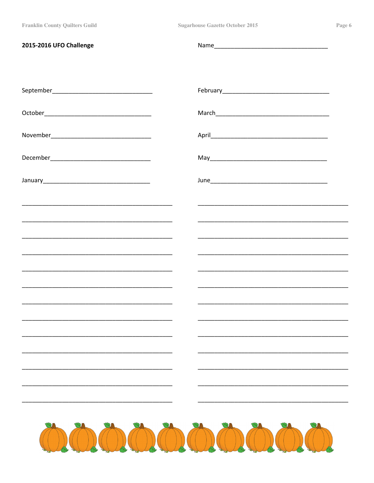| 2015-2016 UFO Challenge |                     |
|-------------------------|---------------------|
|                         |                     |
|                         |                     |
|                         |                     |
|                         |                     |
|                         |                     |
|                         |                     |
|                         |                     |
|                         |                     |
|                         |                     |
|                         |                     |
|                         |                     |
|                         |                     |
|                         |                     |
|                         |                     |
|                         |                     |
|                         |                     |
|                         | OLOLOLOLOLOLOLOLOLO |
|                         |                     |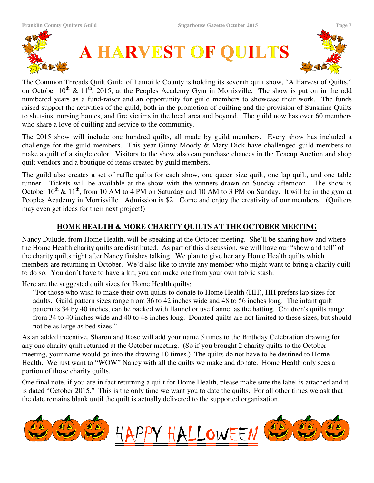

The Common Threads Quilt Guild of Lamoille County is holding its seventh quilt show, "A Harvest of Quilts," on October  $10^{th}$  &  $11^{th}$ , 2015, at the Peoples Academy Gym in Morrisville. The show is put on in the odd numbered years as a fund-raiser and an opportunity for guild members to showcase their work. The funds raised support the activities of the guild, both in the promotion of quilting and the provision of Sunshine Quilts to shut-ins, nursing homes, and fire victims in the local area and beyond. The guild now has over 60 members who share a love of quilting and service to the community.

The 2015 show will include one hundred quilts, all made by guild members. Every show has included a challenge for the guild members. This year Ginny Moody & Mary Dick have challenged guild members to make a quilt of a single color. Visitors to the show also can purchase chances in the Teacup Auction and shop quilt vendors and a boutique of items created by guild members.

The guild also creates a set of raffle quilts for each show, one queen size quilt, one lap quilt, and one table runner. Tickets will be available at the show with the winners drawn on Sunday afternoon. The show is October  $10^{th}$  &  $11^{th}$ , from 10 AM to 4 PM on Saturday and 10 AM to 3 PM on Sunday. It will be in the gym at Peoples Academy in Morrisville. Admission is \$2. Come and enjoy the creativity of our members! (Quilters may even get ideas for their next project!)

# **HOME HEALTH & MORE CHARITY QUILTS AT THE OCTOBER MEETING**

Nancy Dulude, from Home Health, will be speaking at the October meeting. She'll be sharing how and where the Home Health charity quilts are distributed. As part of this discussion, we will have our "show and tell" of the charity quilts right after Nancy finishes talking. We plan to give her any Home Health quilts which members are returning in October. We'd also like to invite any member who might want to bring a charity quilt to do so. You don't have to have a kit; you can make one from your own fabric stash.

Here are the suggested quilt sizes for Home Health quilts:

"For those who wish to make their own quilts to donate to Home Health (HH), HH prefers lap sizes for adults. Guild pattern sizes range from 36 to 42 inches wide and 48 to 56 inches long. The infant quilt pattern is 34 by 40 inches, can be backed with flannel or use flannel as the batting. Children's quilts range from 34 to 40 inches wide and 40 to 48 inches long. Donated quilts are not limited to these sizes, but should not be as large as bed sizes."

As an added incentive, Sharon and Rose will add your name 5 times to the Birthday Celebration drawing for any one charity quilt returned at the October meeting. (So if you brought 2 charity quilts to the October meeting, your name would go into the drawing 10 times.) The quilts do not have to be destined to Home Health. We just want to "WOW" Nancy with all the quilts we make and donate. Home Health only sees a portion of those charity quilts.

One final note, if you are in fact returning a quilt for Home Health, please make sure the label is attached and it is dated "October 2015." This is the only time we want you to date the quilts. For all other times we ask that the date remains blank until the quilt is actually delivered to the supported organization.